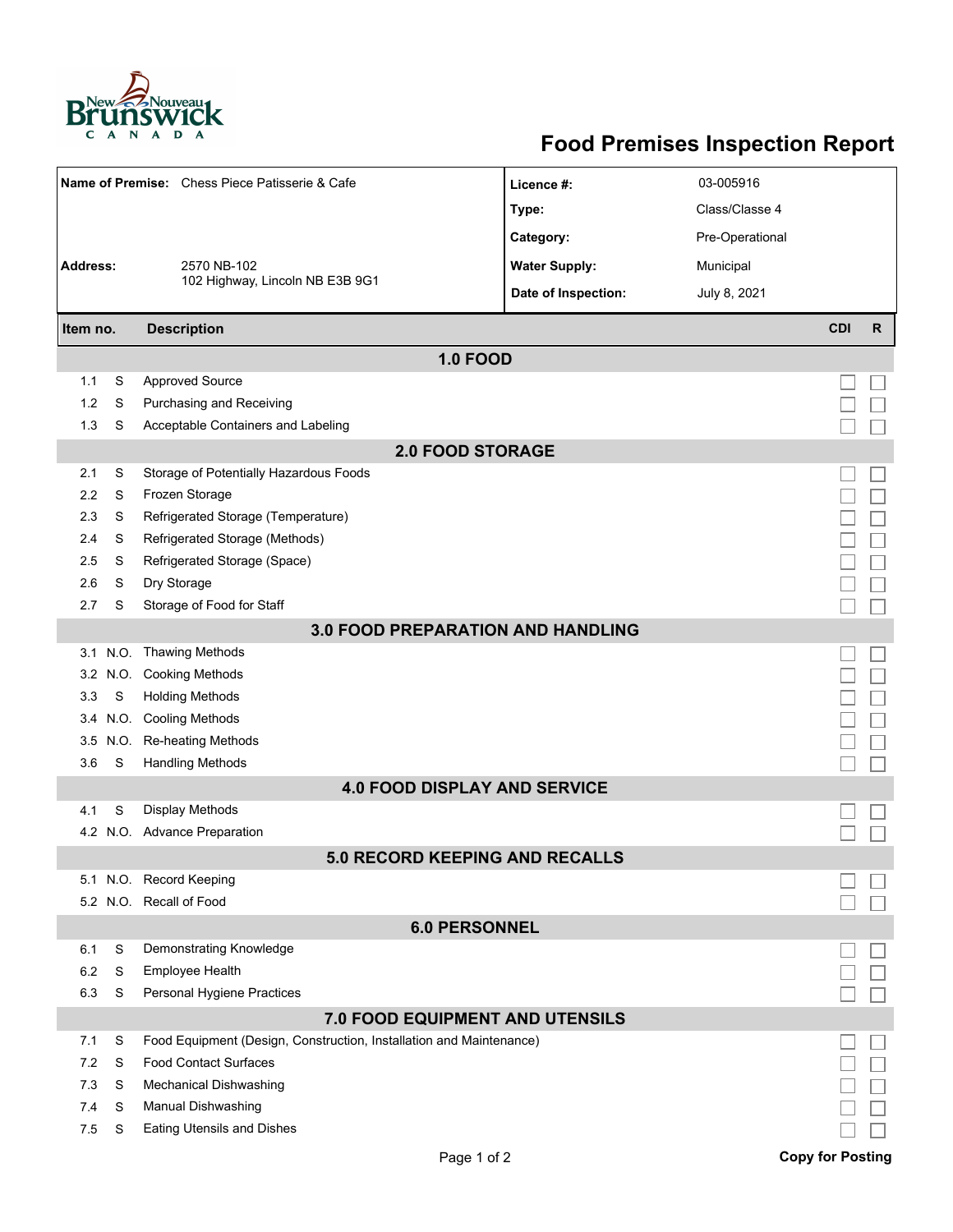

## **Food Premises Inspection Report**

| Name of Premise: Chess Piece Patisserie & Cafe |          |                                                                     | Licence #:                            | 03-005916       |                         |              |  |  |  |  |
|------------------------------------------------|----------|---------------------------------------------------------------------|---------------------------------------|-----------------|-------------------------|--------------|--|--|--|--|
|                                                |          |                                                                     | Type:                                 | Class/Classe 4  |                         |              |  |  |  |  |
|                                                |          |                                                                     | Category:                             | Pre-Operational |                         |              |  |  |  |  |
| <b>Address:</b>                                |          | 2570 NB-102                                                         | <b>Water Supply:</b>                  | Municipal       |                         |              |  |  |  |  |
|                                                |          | 102 Highway, Lincoln NB E3B 9G1                                     | Date of Inspection:                   | July 8, 2021    |                         |              |  |  |  |  |
|                                                |          |                                                                     |                                       |                 | <b>CDI</b>              | $\mathsf{R}$ |  |  |  |  |
| <b>Description</b><br>Item no.                 |          |                                                                     |                                       |                 |                         |              |  |  |  |  |
|                                                |          |                                                                     | <b>1.0 FOOD</b>                       |                 |                         |              |  |  |  |  |
| 1.1                                            | S        | <b>Approved Source</b>                                              |                                       |                 |                         |              |  |  |  |  |
| 1.2                                            | S        | Purchasing and Receiving                                            |                                       |                 |                         |              |  |  |  |  |
| 1.3                                            | S        | Acceptable Containers and Labeling                                  |                                       |                 |                         |              |  |  |  |  |
| <b>2.0 FOOD STORAGE</b>                        |          |                                                                     |                                       |                 |                         |              |  |  |  |  |
| 2.1                                            | S        | Storage of Potentially Hazardous Foods                              |                                       |                 |                         |              |  |  |  |  |
| 2.2                                            | S        | Frozen Storage                                                      |                                       |                 |                         |              |  |  |  |  |
| 2.3                                            | S        | Refrigerated Storage (Temperature)                                  |                                       |                 |                         |              |  |  |  |  |
| 2.4                                            | S        | Refrigerated Storage (Methods)                                      |                                       |                 |                         |              |  |  |  |  |
| 2.5                                            | S        | Refrigerated Storage (Space)                                        |                                       |                 |                         |              |  |  |  |  |
| 2.6                                            | S        | Dry Storage                                                         |                                       |                 |                         |              |  |  |  |  |
| 2.7                                            | S        | Storage of Food for Staff                                           |                                       |                 |                         |              |  |  |  |  |
| <b>3.0 FOOD PREPARATION AND HANDLING</b>       |          |                                                                     |                                       |                 |                         |              |  |  |  |  |
|                                                | 3.1 N.O. | Thawing Methods                                                     |                                       |                 |                         |              |  |  |  |  |
| 3.2                                            | N.O.     | <b>Cooking Methods</b>                                              |                                       |                 |                         |              |  |  |  |  |
| 3.3                                            | S        | <b>Holding Methods</b>                                              |                                       |                 |                         |              |  |  |  |  |
| 3.4                                            | N.O.     | <b>Cooling Methods</b>                                              |                                       |                 |                         |              |  |  |  |  |
| 3.5                                            | N.O.     | <b>Re-heating Methods</b>                                           |                                       |                 |                         |              |  |  |  |  |
| 3.6                                            | S        | <b>Handling Methods</b>                                             |                                       |                 |                         |              |  |  |  |  |
|                                                |          |                                                                     | <b>4.0 FOOD DISPLAY AND SERVICE</b>   |                 |                         |              |  |  |  |  |
| 4.1                                            | S        | <b>Display Methods</b>                                              |                                       |                 |                         |              |  |  |  |  |
|                                                |          | 4.2 N.O. Advance Preparation                                        |                                       |                 |                         |              |  |  |  |  |
|                                                |          |                                                                     | <b>5.0 RECORD KEEPING AND RECALLS</b> |                 |                         |              |  |  |  |  |
|                                                |          | 5.1 N.O. Record Keeping                                             |                                       |                 |                         |              |  |  |  |  |
|                                                |          | 5.2 N.O. Recall of Food                                             |                                       |                 |                         |              |  |  |  |  |
| <b>6.0 PERSONNEL</b>                           |          |                                                                     |                                       |                 |                         |              |  |  |  |  |
| 6.1                                            | S        | Demonstrating Knowledge                                             |                                       |                 |                         |              |  |  |  |  |
| 6.2                                            | S        | <b>Employee Health</b>                                              |                                       |                 |                         |              |  |  |  |  |
| 6.3                                            | S        | Personal Hygiene Practices                                          |                                       |                 |                         |              |  |  |  |  |
| 7.0 FOOD EQUIPMENT AND UTENSILS                |          |                                                                     |                                       |                 |                         |              |  |  |  |  |
| 7.1                                            | S        | Food Equipment (Design, Construction, Installation and Maintenance) |                                       |                 |                         |              |  |  |  |  |
| 7.2                                            | S        | <b>Food Contact Surfaces</b>                                        |                                       |                 |                         |              |  |  |  |  |
| 7.3                                            | S        | <b>Mechanical Dishwashing</b>                                       |                                       |                 |                         |              |  |  |  |  |
| 7.4                                            | S        | Manual Dishwashing                                                  |                                       |                 |                         |              |  |  |  |  |
| 7.5                                            | S        | Eating Utensils and Dishes                                          |                                       |                 |                         |              |  |  |  |  |
|                                                |          |                                                                     | Page 1 of 2                           |                 | <b>Copy for Posting</b> |              |  |  |  |  |